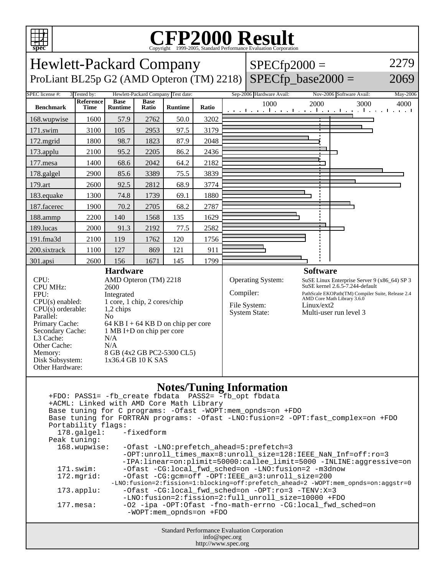

## C<sub>opyright</sub> ©1999-2005, Standard Performance Evaluation Corporation

| spec                                                                                                                                                                                                                                                                                                                                                                                                                           |                                                                                                                                                                        |                               |                      |                                    |       |           | Copyright ©1999-2005, Standard Performance Evaluation Corporation                                                                                                                                                                                                                                                                                                                                                             |            |                                                                                                                                                                                                                                                                                                                                                                                |          |
|--------------------------------------------------------------------------------------------------------------------------------------------------------------------------------------------------------------------------------------------------------------------------------------------------------------------------------------------------------------------------------------------------------------------------------|------------------------------------------------------------------------------------------------------------------------------------------------------------------------|-------------------------------|----------------------|------------------------------------|-------|-----------|-------------------------------------------------------------------------------------------------------------------------------------------------------------------------------------------------------------------------------------------------------------------------------------------------------------------------------------------------------------------------------------------------------------------------------|------------|--------------------------------------------------------------------------------------------------------------------------------------------------------------------------------------------------------------------------------------------------------------------------------------------------------------------------------------------------------------------------------|----------|
| Hewlett-Packard Company<br>$SPECfp2000 =$                                                                                                                                                                                                                                                                                                                                                                                      |                                                                                                                                                                        |                               |                      |                                    |       |           |                                                                                                                                                                                                                                                                                                                                                                                                                               |            |                                                                                                                                                                                                                                                                                                                                                                                | 2279     |
| ProLiant BL25p G2 (AMD Opteron (TM) 2218)                                                                                                                                                                                                                                                                                                                                                                                      |                                                                                                                                                                        |                               |                      |                                    |       |           | $SPECfp\_base2000 =$                                                                                                                                                                                                                                                                                                                                                                                                          |            |                                                                                                                                                                                                                                                                                                                                                                                | 2069     |
| SPEC license #:                                                                                                                                                                                                                                                                                                                                                                                                                | 3 Tested by:                                                                                                                                                           |                               |                      | Hewlett-Packard Company Test date: |       |           | Sep-2006 Hardware Avail:                                                                                                                                                                                                                                                                                                                                                                                                      |            | Nov-2006 Software Avail:                                                                                                                                                                                                                                                                                                                                                       | May-2006 |
| <b>Benchmark</b>                                                                                                                                                                                                                                                                                                                                                                                                               | Reference<br><b>Time</b>                                                                                                                                               | <b>Base</b><br><b>Runtime</b> | <b>Base</b><br>Ratio | Runtime                            | Ratio |           | 1000                                                                                                                                                                                                                                                                                                                                                                                                                          | 2000       | 3000<br>المتعبد المتعمل والمتعارف فبالمتعمر المتعمل والمتعارف                                                                                                                                                                                                                                                                                                                  | 4000     |
| 168.wupwise                                                                                                                                                                                                                                                                                                                                                                                                                    | 1600                                                                                                                                                                   | 57.9                          | 2762                 | 50.0                               | 3202  |           |                                                                                                                                                                                                                                                                                                                                                                                                                               |            |                                                                                                                                                                                                                                                                                                                                                                                |          |
| 171.swim                                                                                                                                                                                                                                                                                                                                                                                                                       | 3100                                                                                                                                                                   | 105                           | 2953                 | 97.5                               | 3179  |           |                                                                                                                                                                                                                                                                                                                                                                                                                               |            |                                                                                                                                                                                                                                                                                                                                                                                |          |
| 172.mgrid                                                                                                                                                                                                                                                                                                                                                                                                                      | 1800                                                                                                                                                                   | 98.7                          | 1823                 | 87.9                               | 2048  |           |                                                                                                                                                                                                                                                                                                                                                                                                                               |            |                                                                                                                                                                                                                                                                                                                                                                                |          |
| 173.applu                                                                                                                                                                                                                                                                                                                                                                                                                      | 2100                                                                                                                                                                   | 95.2                          | 2205                 | 86.2                               | 2436  |           |                                                                                                                                                                                                                                                                                                                                                                                                                               |            |                                                                                                                                                                                                                                                                                                                                                                                |          |
| 177.mesa                                                                                                                                                                                                                                                                                                                                                                                                                       | 1400                                                                                                                                                                   | 68.6                          | 2042                 | 64.2                               | 2182  |           |                                                                                                                                                                                                                                                                                                                                                                                                                               |            |                                                                                                                                                                                                                                                                                                                                                                                |          |
| 178.galgel                                                                                                                                                                                                                                                                                                                                                                                                                     | 2900                                                                                                                                                                   | 85.6                          | 3389                 | 75.5                               | 3839  |           |                                                                                                                                                                                                                                                                                                                                                                                                                               |            |                                                                                                                                                                                                                                                                                                                                                                                |          |
| 179.art                                                                                                                                                                                                                                                                                                                                                                                                                        | 2600                                                                                                                                                                   | 92.5                          | 2812                 | 68.9                               | 3774  |           |                                                                                                                                                                                                                                                                                                                                                                                                                               |            |                                                                                                                                                                                                                                                                                                                                                                                |          |
| 183.equake                                                                                                                                                                                                                                                                                                                                                                                                                     | 1300                                                                                                                                                                   | 74.8                          | 1739                 | 69.1                               | 1880  |           |                                                                                                                                                                                                                                                                                                                                                                                                                               |            |                                                                                                                                                                                                                                                                                                                                                                                |          |
| 187.facerec                                                                                                                                                                                                                                                                                                                                                                                                                    | 1900                                                                                                                                                                   | 70.2                          | 2705                 | 68.2                               | 2787  |           |                                                                                                                                                                                                                                                                                                                                                                                                                               |            |                                                                                                                                                                                                                                                                                                                                                                                |          |
| 188.ammp                                                                                                                                                                                                                                                                                                                                                                                                                       | 2200                                                                                                                                                                   | 140                           | 1568                 | 135                                | 1629  |           |                                                                                                                                                                                                                                                                                                                                                                                                                               |            |                                                                                                                                                                                                                                                                                                                                                                                |          |
| 189.lucas                                                                                                                                                                                                                                                                                                                                                                                                                      | 2000                                                                                                                                                                   | 91.3                          | 2192                 | 77.5                               | 2582  |           |                                                                                                                                                                                                                                                                                                                                                                                                                               |            |                                                                                                                                                                                                                                                                                                                                                                                |          |
| 191.fma3d                                                                                                                                                                                                                                                                                                                                                                                                                      | 2100                                                                                                                                                                   | 119                           | 1762                 | 120                                | 1756  |           |                                                                                                                                                                                                                                                                                                                                                                                                                               |            |                                                                                                                                                                                                                                                                                                                                                                                |          |
| 200.sixtrack                                                                                                                                                                                                                                                                                                                                                                                                                   | 1100                                                                                                                                                                   | 127                           | 869                  | 121                                | 911   |           |                                                                                                                                                                                                                                                                                                                                                                                                                               |            |                                                                                                                                                                                                                                                                                                                                                                                |          |
| 301.apsi                                                                                                                                                                                                                                                                                                                                                                                                                       | 2600                                                                                                                                                                   | 156                           | 1671                 | 145                                | 1799  |           |                                                                                                                                                                                                                                                                                                                                                                                                                               |            |                                                                                                                                                                                                                                                                                                                                                                                |          |
| <b>CPU MHz:</b><br>2600<br>FPU:<br>Integrated<br>$CPU(s)$ enabled:<br>1 core, 1 chip, 2 cores/chip<br>$CPU(s)$ orderable:<br>1,2 chips<br>Parallel:<br>N <sub>0</sub><br>Primary Cache:<br>64 KB I + 64 KB D on chip per core<br>Secondary Cache:<br>1 MB I+D on chip per core<br>L3 Cache:<br>N/A<br>Other Cache:<br>N/A<br>8 GB (4x2 GB PC2-5300 CL5)<br>Memory:<br>1x36.4 GB 10 K SAS<br>Disk Subsystem:<br>Other Hardware: |                                                                                                                                                                        |                               |                      |                                    |       | Compiler: | File System:<br><b>System State:</b>                                                                                                                                                                                                                                                                                                                                                                                          | Linux/ext2 | SuSE kernel 2.6.5-7.244-default<br>PathScale EKOPath(TM) Compiler Suite, Release 2.4<br>AMD Core Math Library 3.6.0<br>Multi-user run level 3                                                                                                                                                                                                                                  |          |
|                                                                                                                                                                                                                                                                                                                                                                                                                                | +ACML: Linked with AMD Core Math Library<br>Portability flags:<br>178.galgel:<br>Peak tuning:<br>168.wupwise:<br>171.swim:<br>172.mgrid:<br>173.applu:<br>$177.$ mesa: |                               | $-fixedform$         | -WOPT:mem_opnds=on +FDO            |       |           | <b>Notes/Tuning Information</b><br>+FDO: PASS1= -fb_create fbdata PASS2= -fb_opt fbdata<br>Base tuning for C programs: - Ofast - WOPT: mem_opnds=on + FDO<br>-Ofast -LNO: prefetch ahead=5: prefetch=3<br>-Ofast -CG:local_fwd_sched=on -LNO:fusion=2 -m3dnow<br>-Ofast -CG:gcm=off -OPT:IEEE_a=3:unroll_size=200<br>-Ofast -CG:local_fwd_sched=on -OPT:ro=3 -TENV:X=3<br>-LNO:fusion=2:fission=2:full_unroll_size=10000 +FDO |            | Base tuning for FORTRAN programs: - Ofast -LNO: fusion=2 -OPT: fast_complex=on +FDO<br>-OPT:unroll_times_max=8:unroll_size=128:IEEE_NaN_Inf=off:ro=3<br>-IPA:linear=on:plimit=50000:callee_limit=5000 -INLINE:aggressive=on<br>-LNO:fusion=2:fission=1:blocking=off:prefetch_ahead=2 -WOPT:mem_opnds=on:aggstr=0<br>-02 -ipa -0PT:Ofast -fno-math-errno -CG:local_fwd_sched=on |          |
|                                                                                                                                                                                                                                                                                                                                                                                                                                |                                                                                                                                                                        |                               |                      |                                    |       |           | Standard Performance Evaluation Corporation                                                                                                                                                                                                                                                                                                                                                                                   |            |                                                                                                                                                                                                                                                                                                                                                                                |          |

info@spec.org http://www.spec.org